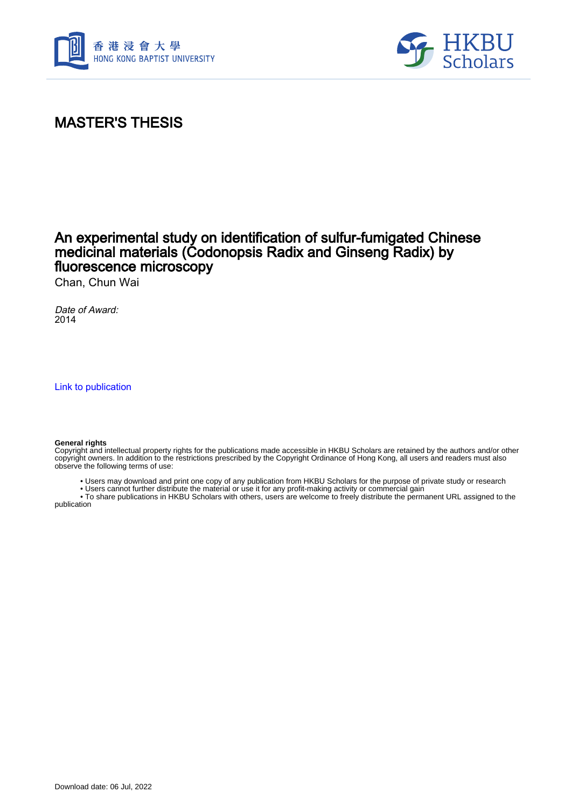



## MASTER'S THESIS

## An experimental study on identification of sulfur-fumigated Chinese medicinal materials (Codonopsis Radix and Ginseng Radix) by fluorescence microscopy

Chan, Chun Wai

Date of Award: 2014

[Link to publication](https://scholars.hkbu.edu.hk/en/studentTheses/3b6edcc5-a0e3-4ab0-9560-448554594e56)

#### **General rights**

Copyright and intellectual property rights for the publications made accessible in HKBU Scholars are retained by the authors and/or other copyright owners. In addition to the restrictions prescribed by the Copyright Ordinance of Hong Kong, all users and readers must also observe the following terms of use:

• Users may download and print one copy of any publication from HKBU Scholars for the purpose of private study or research

 • Users cannot further distribute the material or use it for any profit-making activity or commercial gain • To share publications in HKBU Scholars with others, users are welcome to freely distribute the permanent URL assigned to the

publication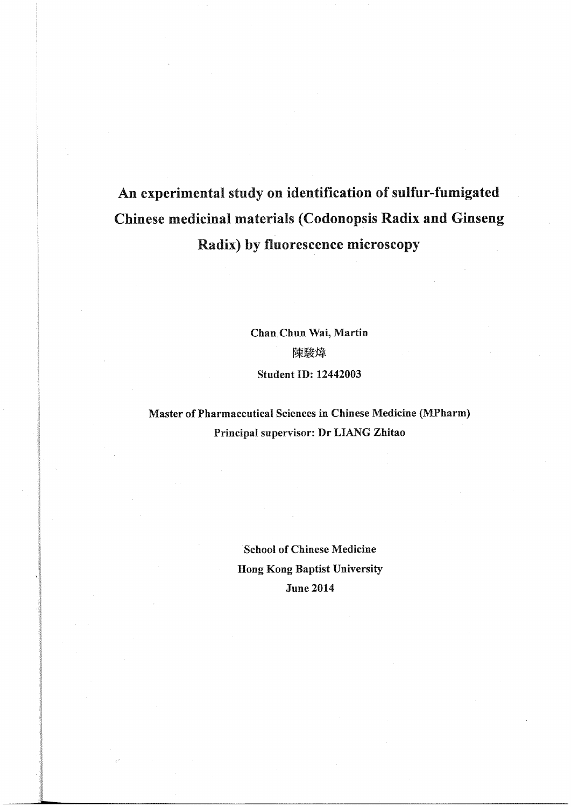# An experimental study on identification of sulfur-fumigated Chinese medicinal materials (Codonopsis Radix and Ginseng Radix) by fluorescence microscopy

Chan Chun Wai, Martin 陳駿煒 Student ID: 12442003

Master of Pharmaceutical Sciences in Chinese Medicine (MPharm) Principal supervisor: Dr LIANG Zhitao

> School of Chinese Medicine Hong Kong Baptist University June 2014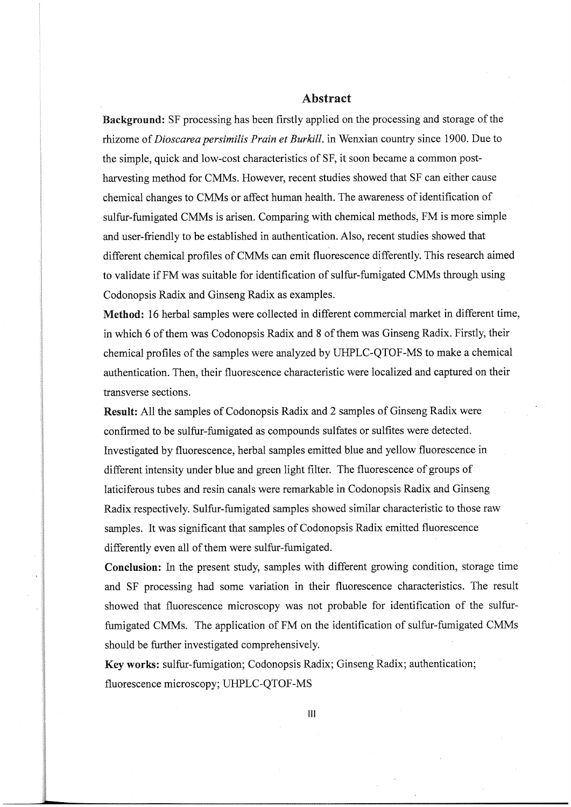### Abstract

Background: SF processing has been firstly applied on the processing and storage of the rhizome of Dioscarea persimilis Prain et Burkill. in Wenxian country since 1900. Due to the simple, quick and low-cost characteristics of SF, it soon became a common postharvesting method for CMMs. However, recent studies showed that SF can either cause chemical changes to CMMs or affect human health. The awareness of identification of sulfur-fumigated CMMs is arisen. Comparing with chemical methods, FM is more simple and user-friendly to be established in authentication. Also, recent studies showed that different chemical profiles of CMMs can emit fluorescence differently. This research aimed to validate ifFM was suitable for identification of sulfur-fumigated CMMs through using Codonopsis Radix and Ginseng Radix as examples.

Method: 16 herbal samples were collected in different commercial market in different time, in which 6 of them was Codonopsis Radix and 8 of them was Ginseng Radix. Firstly, their chemical profiles of the samples were analyzed by UHPLC-QTOF-MS to make a chemical authentication. Then, their fluorescence characteristic were localized and captured on their transverse section

Result: All the samples of Codonopsis Radix and 2 samples of Ginseng Radix were confirmed to be sulfur-fumigated as compounds sulfates or sulfites were detected. Investigated by fluorescence, herbal samples emitted blue and yellow fluorescence in different intensity under blue and green light filter. The fluorescence of groups of laticiferous tubes and resin canals were remarkable in Codonopsis Radix and Ginseng Radix respectively. Sulfur-fumigated samples showed similar characteristic to those raw samples. It was significant that samples of Codonopsis Radix emitted fluorescence differently even all of them were sulfur-fumigated.

Conclusion: In the present study, samples with different growing condition, storage time and SF processing had some variation in their fluorescence characteristics. The result showed that fluorescence microscopy was not probable for identification of the sulfurfumigated CMMs. The application of FM on the identification of sulfur-fumigated CMMs should be further investigated comprehensively.

Key works: sulfur-fumigation; Codonopsis Radix; Ginseng Radix; authentication; fluorescence microscopy; UHPLC-QTOF-MS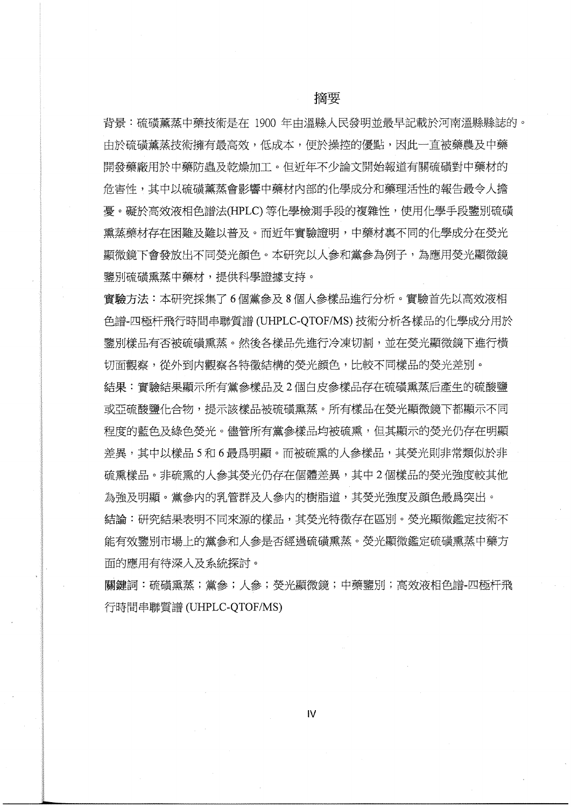背景:硫磺薰蒸中藥技術是在 1900 年由溫縣人民發明並最早記載於河南溫縣縣誌的。 中於碲磺薰蒸技術擁有最高效,低成本,便於操控的優點,因此一直被藥農及中藥 開發藥廠用於中藥防蟲及乾燥加工。但折年不少論文開始報道有關硫磺對中藥材的 危害性,其中以硫磺薰蒸會影響中藥材內部的化學成分和藥理活性的報告最令人擔 憂。礙於高效液相色譜法(HPLC) 等化學檢測手段的複雜性,使用化學手段鑒別硫磺 熏蒸藥材存在困難及難以普及。而近年實驗證明,中藥材裏不同的化學成分在熒光 顯微鏡下會發放出不同熒光顔色。本研究以人參和黨參為例子,為應用熒光顯微鏡 鑒別硫磺熏蒸中藥材,提供科學證據支持。

實驗方法:本研究採集了6個黨參及8個人參樣品進行分析。實驗首先以高效液相 色譜-四極杆飛行時間串聯質譜 (UHPLC-OTOF/MS) 技術分析各樣品的化學成分用於 鑒別樣品有否被硫磺熏蒸。然後各樣品先進行冷凍切割,並在熒光顯微鏡下進行橫 切面觀察,從外到内觀察各特徵結構的熒光顔色,比較不同樣品的熒光差別。

結果:實驗結果顯示所有黨參樣品及2個白皮參樣品存在硫磺熏蒸后產生的硫酸鹽 或亞硫酸鹽化合物,提示該樣品被硫磺熏蒸。所有樣品在熒光顯微鏡下都顯示不同 程度的藍色及綠色熒光。儘管所有黨參樣品均被硫熏,但其顯示的熒光仍存在明顯 差異,其中以樣品 5 和 6 最爲明顯。而被硫熏的人參樣品,其熒光則非常類似於非 硫熏樣品。非硫熏的人參其熒光仍存在個體差異,其中2個樣品的熒光強度較其他 為強及明顯。黨參内的乳管群及人參内的樹脂道,其熒光強度及顔色最爲突出。 結論:研究結果表明不同來源的樣品,其熒光特徵存在區別。熒光顯微鑑定技術不 能有效鑒別市場上的黨參和人參是否經過硫磺熏蒸。熒光顯微鑑定硫磺熏蒸中藥方

面的應用有待深入及系統探討。

關鍵詞:硫磺熏蒸;黨參;人參;熒光顯微鏡;中藥鑒別;高效液相色譜-四極杆飛 行時間串聯質譜 (UHPLC-QTOF/MS)

IV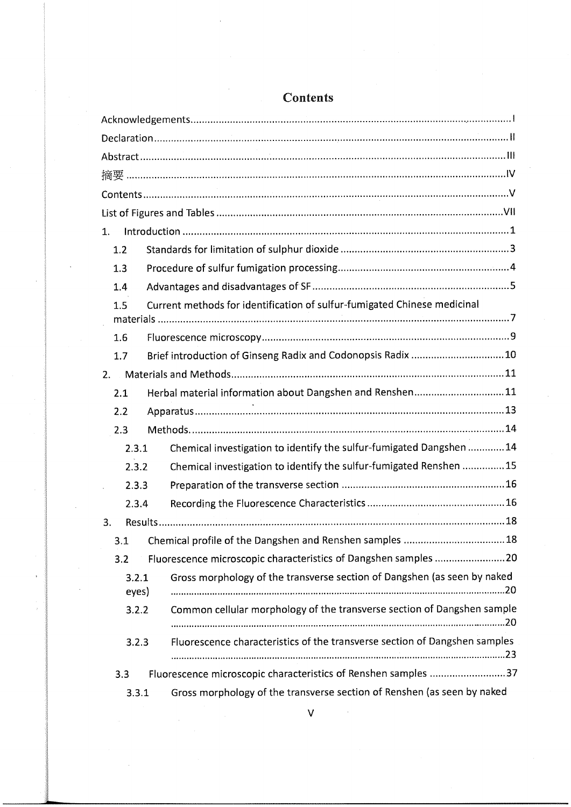## **Contents**

| 1.                                                                              |                                                                            |  |
|---------------------------------------------------------------------------------|----------------------------------------------------------------------------|--|
| 1.2                                                                             |                                                                            |  |
| 1.3                                                                             |                                                                            |  |
| 1.4                                                                             |                                                                            |  |
| Current methods for identification of sulfur-fumigated Chinese medicinal<br>1.5 |                                                                            |  |
| 1.6                                                                             |                                                                            |  |
| 1.7                                                                             | Brief introduction of Ginseng Radix and Codonopsis Radix  10               |  |
| 2.                                                                              |                                                                            |  |
| 2.1                                                                             | Herbal material information about Dangshen and Renshen11                   |  |
| 2.2                                                                             |                                                                            |  |
| 2.3                                                                             |                                                                            |  |
| 2.3.1                                                                           | Chemical investigation to identify the sulfur-fumigated Dangshen  14       |  |
| 2.3.2                                                                           | Chemical investigation to identify the sulfur-fumigated Renshen 15         |  |
| 2.3.3                                                                           |                                                                            |  |
| 2.3.4                                                                           |                                                                            |  |
| 3.                                                                              |                                                                            |  |
| Chemical profile of the Dangshen and Renshen samples  18<br>3.1                 |                                                                            |  |
| 3.2                                                                             | Fluorescence microscopic characteristics of Dangshen samples 20            |  |
| 3.2.1<br>eyes)                                                                  | Gross morphology of the transverse section of Dangshen (as seen by naked   |  |
| 3.2.2                                                                           | Common cellular morphology of the transverse section of Dangshen sample    |  |
| 3.2.3                                                                           | Fluorescence characteristics of the transverse section of Dangshen samples |  |
| Fluorescence microscopic characteristics of Renshen samples 37<br>3.3           |                                                                            |  |
| 3.3.1                                                                           | Gross morphology of the transverse section of Renshen (as seen by naked    |  |

v

.